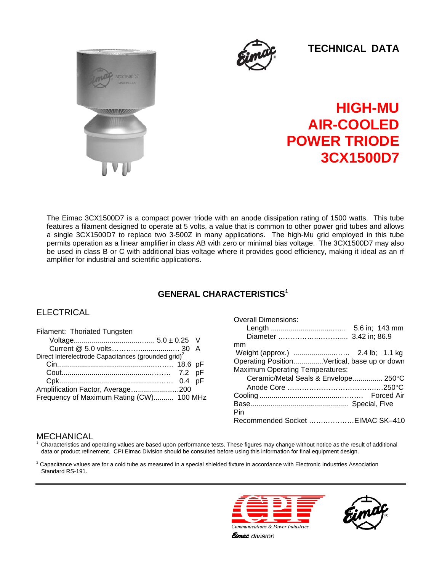



 **TECHNICAL DATA**

# **HIGH-MU AIR-COOLED POWER TRIODE 3CX1500D7**

The Eimac 3CX1500D7 is a compact power triode with an anode dissipation rating of 1500 watts. This tube features a filament designed to operate at 5 volts, a value that is common to other power grid tubes and allows a single 3CX1500D7 to replace two 3-500Z in many applications. The high-Mu grid employed in this tube permits operation as a linear amplifier in class AB with zero or minimal bias voltage. The 3CX1500D7 may also be used in class B or C with additional bias voltage where it provides good efficiency, making it ideal as an rf amplifier for industrial and scientific applications.

# **GENERAL CHARACTERISTICS1**

# **ELECTRICAL**

| Filament: Thoriated Tungsten                                    |  |
|-----------------------------------------------------------------|--|
|                                                                 |  |
|                                                                 |  |
| Direct Interelectrode Capacitances (grounded grid) <sup>2</sup> |  |
|                                                                 |  |
|                                                                 |  |
|                                                                 |  |
| Amplification Factor, Average200                                |  |
| Frequency of Maximum Rating (CW) 100 MHz                        |  |

#### Overall Dimensions: Length ................................….. 5.6 in; 143 mm Diameter ……………..……….... 3.42 in; 86.9 mm Weight (approx.) ....................……. 2.4 lb; 1.1 kg Operating Position...............Vertical, base up or down Maximum Operating Temperatures: Ceramic/Metal Seals & Envelope............... 250°C Anode Core ……………………………….…250°C Cooling ........................................………. Forced Air Base................................................. Special, Five Pin Recommended Socket …….…………EIMAC SK–410

# MECHANICAL

1 Characteristics and operating values are based upon performance tests. These figures may change without notice as the result of additional data or product refinement. CPI Eimac Division should be consulted before using this information for final equipment design.

 $^2$  Capacitance values are for a cold tube as measured in a special shielded fixture in accordance with Electronic Industries Association Standard RS-191.





**Eimac** division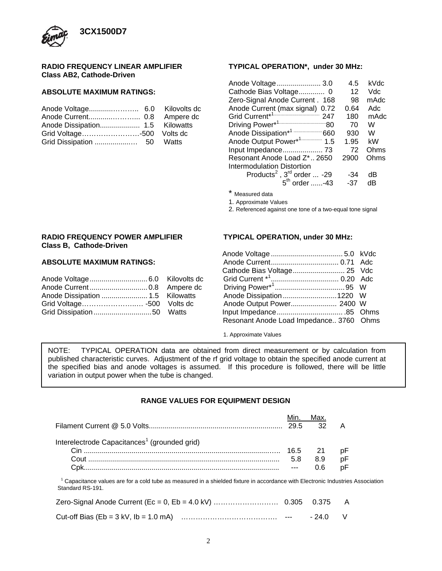

#### **RADIO FREQUENCY LINEAR AMPLIFIER Class AB2, Cathode-Driven**

#### **ABSOLUTE MAXIMUM RATINGS:**

#### **TYPICAL OPERATION\*, under 30 MHz:**

| 4.5  | kVdc |
|------|------|
| 12   | Vdc  |
| 98   | mAdc |
| 0.64 | Adc  |
| 180  | mAdc |
| 70   | W    |
| 930  | W    |
| 1.95 | kW   |
| 72   | Ohms |
| 2900 | Ohms |
|      |      |
| -34  | dB   |
| -37  | dB   |
|      |      |

\* Measured data

1. Approximate Values

2. Referenced against one tone of a two-equal tone signal

#### **RADIO FREQUENCY POWER AMPLIFIER TYPICAL OPERATION, under 30 MHz: Class B, Cathode-Driven**

### **ABSOLUTE MAXIMUM RATINGS:**

|  | Anode Dissipation1220 W |  |
|--|-------------------------|--|
|  |                         |  |
|  |                         |  |

| <b>ABSOLUTE MAXIMUM RATINGS:</b>                       |                                         |  |
|--------------------------------------------------------|-----------------------------------------|--|
|                                                        |                                         |  |
| Anode Voltage 6.0 Kilovolts dc                         |                                         |  |
|                                                        |                                         |  |
| Anode Dissipation  1.5 Kilowatts                       | Anode Dissipation1220 W                 |  |
| Grid Voltage -500    Volts                          dc |                                         |  |
|                                                        |                                         |  |
|                                                        | Resonant Anode Load Impedance 3760 Ohms |  |
|                                                        |                                         |  |

1. Approximate Values

NOTE: TYPICAL OPERATION data are obtained from direct measurement or by calculation from published characteristic curves. Adjustment of the rf grid voltage to obtain the specified anode current at the specified bias and anode voltages is assumed. If this procedure is followed, there will be little variation in output power when the tube is changed.

## **RANGE VALUES FOR EQUIPMENT DESIGN**

|                                                                                                                                                   |      | Max.   |    |  |
|---------------------------------------------------------------------------------------------------------------------------------------------------|------|--------|----|--|
|                                                                                                                                                   | 29.5 | 32     | А  |  |
| Interelectrode Capacitances <sup>1</sup> (grounded grid)                                                                                          |      |        |    |  |
|                                                                                                                                                   | 16.5 | -21    | рF |  |
|                                                                                                                                                   | 5.8  | 8.9    | рF |  |
|                                                                                                                                                   |      | 0.6    | рF |  |
| Capacitance values are for a cold tube as measured in a shielded fixture in accordance with Electronic Industries Association<br>Standard RS-191. |      |        |    |  |
|                                                                                                                                                   |      | 0.375  | A  |  |
|                                                                                                                                                   |      | - 24 0 | V  |  |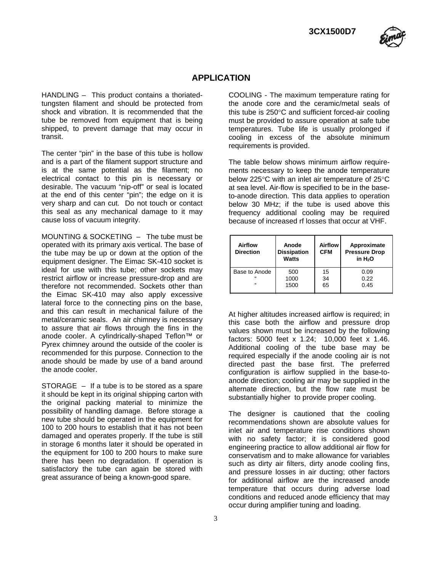

# **APPLICATION**

HANDLING – This product contains a thoriatedtungsten filament and should be protected from shock and vibration. It is recommended that the tube be removed from equipment that is being shipped, to prevent damage that may occur in transit.

The center "pin" in the base of this tube is hollow and is a part of the filament support structure and is at the same potential as the filament; no electrical contact to this pin is necessary or desirable. The vacuum "nip-off" or seal is located at the end of this center "pin"; the edge on it is very sharp and can cut. Do not touch or contact this seal as any mechanical damage to it may cause loss of vacuum integrity.

MOUNTING & SOCKETING – The tube must be operated with its primary axis vertical. The base of the tube may be up or down at the option of the equipment designer. The Eimac SK-410 socket is ideal for use with this tube; other sockets may restrict airflow or increase pressure-drop and are therefore not recommended. Sockets other than the Eimac SK-410 may also apply excessive lateral force to the connecting pins on the base, and this can result in mechanical failure of the metal/ceramic seals. An air chimney is necessary to assure that air flows through the fins in the anode cooler. A cylindrically-shaped Teflon™ or Pyrex chimney around the outside of the cooler is recommended for this purpose. Connection to the anode should be made by use of a band around the anode cooler.

STORAGE – If a tube is to be stored as a spare it should be kept in its original shipping carton with the original packing material to minimize the possibility of handling damage. Before storage a new tube should be operated in the equipment for 100 to 200 hours to establish that it has not been damaged and operates properly. If the tube is still in storage 6 months later it should be operated in the equipment for 100 to 200 hours to make sure there has been no degradation. If operation is satisfactory the tube can again be stored with great assurance of being a known-good spare.

3

COOLING - The maximum temperature rating for the anode core and the ceramic/metal seals of this tube is 250°C and sufficient forced-air cooling must be provided to assure operation at safe tube temperatures. Tube life is usually prolonged if cooling in excess of the absolute minimum requirements is provided.

The table below shows minimum airflow requirements necessary to keep the anode temperature below 225°C with an inlet air temperature of 25°C at sea level. Air-flow is specified to be in the baseto-anode direction. This data applies to operation below 30 MHz; if the tube is used above this frequency additional cooling may be required because of increased rf losses that occur at VHF.

| Airflow<br><b>Direction</b> | Anode<br><b>Dissipation</b><br><b>Watts</b> | <b>Airflow</b><br><b>CFM</b> | Approximate<br><b>Pressure Drop</b><br>in H <sub>2</sub> O |
|-----------------------------|---------------------------------------------|------------------------------|------------------------------------------------------------|
| Base to Anode               | 500                                         | 15                           | 0.09                                                       |
| $\epsilon$                  | 1000                                        | 34                           | 0.22                                                       |
| $\epsilon$                  | 1500                                        | 65                           | 0.45                                                       |

At higher altitudes increased airflow is required; in this case both the airflow and pressure drop values shown must be increased by the following factors: 5000 feet x 1.24; 10,000 feet x 1.46. Additional cooling of the tube base may be required especially if the anode cooling air is not directed past the base first. The preferred configuration is airflow supplied in the base-toanode direction; cooling air may be supplied in the alternate direction, but the flow rate must be substantially higher to provide proper cooling.

The designer is cautioned that the cooling recommendations shown are absolute values for inlet air and temperature rise conditions shown with no safety factor; it is considered good engineering practice to allow additional air flow for conservatism and to make allowance for variables such as dirty air filters, dirty anode cooling fins, and pressure losses in air ducting; other factors for additional airflow are the increased anode temperature that occurs during adverse load conditions and reduced anode efficiency that may occur during amplifier tuning and loading.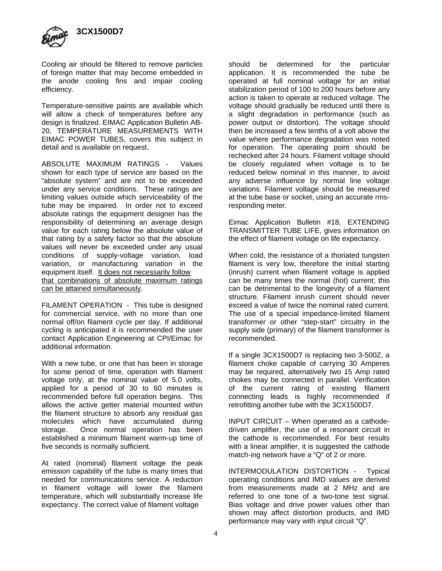

Cooling air should be filtered to remove particles of foreign matter that may become embedded in the anode cooling fins and impair cooling efficiency.

Temperature-sensitive paints are available which will allow a check of temperatures before any design is finalized. EIMAC Application Bulletin AB-20, TEMPERATURE MEASUREMENTS WITH EIMAC POWER TUBES, covers this subject in detail and is available on request.

ABSOLUTE MAXIMUM RATINGS - Values shown for each type of service are based on the "absolute system" and are not to be exceeded under any service conditions. These ratings are limiting values outside which serviceability of the tube may be impaired. In order not to exceed absolute ratings the equipment designer has the responsibility of determining an average design value for each rating below the absolute value of that rating by a safety factor so that the absolute values will never be exceeded under any usual conditions of supply-voltage variation, load variation, or manufacturing variation in the equipment itself. It does not necessarily follow that combinations of absolute maximum ratings can be attained simultaneously.

FILAMENT OPERATION - This tube is designed for commercial service, with no more than one normal off/on filament cycle per day. If additional cycling is anticipated it is recommended the user contact Application Engineering at CPI/Eimac for additional information.

With a new tube, or one that has been in storage for some period of time, operation with filament voltage only, at the nominal value of 5.0 volts, applied for a period of 30 to 60 minutes is recommended before full operation begins. This allows the active getter material mounted within the filament structure to absorb any residual gas molecules which have accumulated during storage. Once normal operation has been established a minimum filament warm-up time of five seconds is normally sufficient.

At rated (nominal) filament voltage the peak emission capability of the tube is many times that needed for communications service. A reduction in filament voltage will lower the filament temperature, which will substantially increase life expectancy. The correct value of filament voltage

should be determined for the particular application. It is recommended the tube be operated at full nominal voltage for an initial stabilization period of 100 to 200 hours before any action is taken to operate at reduced voltage. The voltage should gradually be reduced until there is a slight degradation in performance (such as power output or distortion). The voltage should then be increased a few tenths of a volt above the value where performance degradation was noted for operation. The operating point should be rechecked after 24 hours. Filament voltage should be closely regulated when voltage is to be reduced below nominal in this manner, to avoid any adverse influence by normal line voltage variations. Filament voltage should be measured at the tube base or socket, using an accurate rmsresponding meter.

Eimac Application Bulletin #18, EXTENDING TRANSMITTER TUBE LIFE, gives information on the effect of filament voltage on life expectancy.

When cold, the resistance of a thoriated tungsten filament is very low, therefore the initial starting (inrush) current when filament voltage is applied can be many times the normal (hot) current; this can be detrimental to the longevity of a filament structure. Filament inrush current should never exceed a value of twice the nominal rated current. The use of a special impedance-limited filament transformer or other "step-start" circuitry in the supply side (primary) of the filament transformer is recommended.

If a single 3CX1500D7 is replacing two 3-500Z, a filament choke capable of carrying 30 Amperes may be required, alternatively two 15 Amp rated chokes may be connected in parallel. Verification of the current rating of existing filament connecting leads is highly recommended if retrofitting another tube with the 3CX1500D7.

INPUT CIRCUIT – When operated as a cathodedriven amplifier, the use of a resonant circuit in the cathode is recommended. For best results with a linear amplifier, it is suggested the cathode match-ing network have a "Q" of 2 or more.

INTERMODULATION DISTORTION - Typical operating conditions and IMD values are derived from measurements made at 2 MHz and are referred to one tone of a two-tone test signal. Bias voltage and drive power values other than shown may affect distortion products, and IMD performance may vary with input circuit "Q".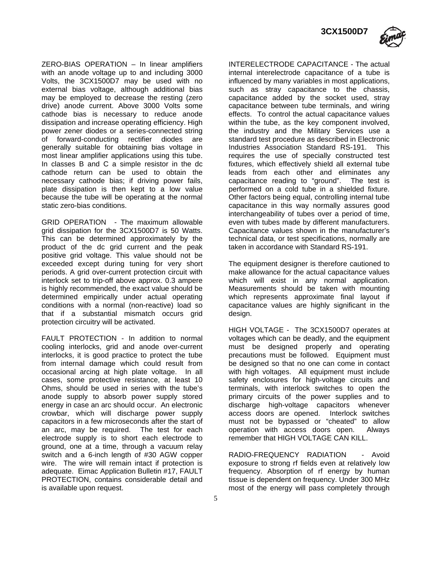**3CX1500D7**



ZERO-BIAS OPERATION – In linear amplifiers with an anode voltage up to and including 3000 Volts, the 3CX1500D7 may be used with no external bias voltage, although additional bias may be employed to decrease the resting (zero drive) anode current. Above 3000 Volts some cathode bias is necessary to reduce anode dissipation and increase operating efficiency. High power zener diodes or a series-connected string of forward-conducting rectifier diodes are generally suitable for obtaining bias voltage in most linear amplifier applications using this tube. In classes B and C a simple resistor in the dc cathode return can be used to obtain the necessary cathode bias; if driving power fails, plate dissipation is then kept to a low value because the tube will be operating at the normal static zero-bias conditions.

GRID OPERATION - The maximum allowable grid dissipation for the 3CX1500D7 is 50 Watts. This can be determined approximately by the product of the dc grid current and the peak positive grid voltage. This value should not be exceeded except during tuning for very short periods. A grid over-current protection circuit with interlock set to trip-off above approx. 0.3 ampere is highly recommended, the exact value should be determined empirically under actual operating conditions with a normal (non-reactive) load so that if a substantial mismatch occurs grid protection circuitry will be activated.

FAULT PROTECTION - In addition to normal cooling interlocks, grid and anode over-current interlocks, it is good practice to protect the tube from internal damage which could result from occasional arcing at high plate voltage. In all cases, some protective resistance, at least 10 Ohms, should be used in series with the tube's anode supply to absorb power supply stored energy in case an arc should occur. An electronic crowbar, which will discharge power supply capacitors in a few microseconds after the start of an arc, may be required. The test for each electrode supply is to short each electrode to ground, one at a time, through a vacuum relay switch and a 6-inch length of #30 AGW copper wire. The wire will remain intact if protection is adequate. Eimac Application Bulletin #17, FAULT PROTECTION, contains considerable detail and is available upon request.

INTERELECTRODE CAPACITANCE - The actual internal interelectrode capacitance of a tube is influenced by many variables in most applications, such as stray capacitance to the chassis, capacitance added by the socket used, stray capacitance between tube terminals, and wiring effects. To control the actual capacitance values within the tube, as the key component involved, the industry and the Military Services use a standard test procedure as described in Electronic Industries Association Standard RS-191. This requires the use of specially constructed test fixtures, which effectively shield all external tube leads from each other and eliminates any capacitance reading to "ground". The test is performed on a cold tube in a shielded fixture. Other factors being equal, controlling internal tube capacitance in this way normally assures good interchangeability of tubes over a period of time, even with tubes made by different manufacturers. Capacitance values shown in the manufacturer's technical data, or test specifications, normally are taken in accordance with Standard RS-191.

The equipment designer is therefore cautioned to make allowance for the actual capacitance values which will exist in any normal application. Measurements should be taken with mounting which represents approximate final layout if capacitance values are highly significant in the design.

HIGH VOLTAGE - The 3CX1500D7 operates at voltages which can be deadly, and the equipment must be designed properly and operating precautions must be followed. Equipment must be designed so that no one can come in contact with high voltages. All equipment must include safety enclosures for high-voltage circuits and terminals, with interlock switches to open the primary circuits of the power supplies and to discharge high-voltage capacitors whenever access doors are opened. Interlock switches must not be bypassed or "cheated" to allow operation with access doors open. Always remember that HIGH VOLTAGE CAN KILL.

RADIO-FREQUENCY RADIATION - Avoid exposure to strong rf fields even at relatively low frequency. Absorption of rf energy by human tissue is dependent on frequency. Under 300 MHz most of the energy will pass completely through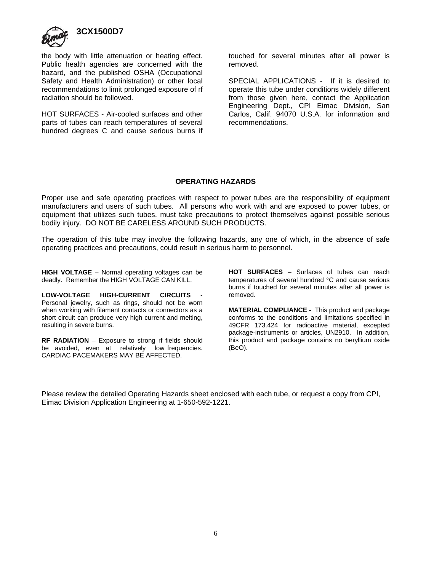

the body with little attenuation or heating effect. Public health agencies are concerned with the hazard, and the published OSHA (Occupational Safety and Health Administration) or other local recommendations to limit prolonged exposure of rf radiation should be followed.

HOT SURFACES - Air-cooled surfaces and other parts of tubes can reach temperatures of several hundred degrees C and cause serious burns if touched for several minutes after all power is removed.

SPECIAL APPLICATIONS - If it is desired to operate this tube under conditions widely different from those given here, contact the Application Engineering Dept., CPI Eimac Division, San Carlos, Calif. 94070 U.S.A. for information and recommendations.

#### **OPERATING HAZARDS**

Proper use and safe operating practices with respect to power tubes are the responsibility of equipment manufacturers and users of such tubes. All persons who work with and are exposed to power tubes, or equipment that utilizes such tubes, must take precautions to protect themselves against possible serious bodily injury. DO NOT BE CARELESS AROUND SUCH PRODUCTS.

The operation of this tube may involve the following hazards, any one of which, in the absence of safe operating practices and precautions, could result in serious harm to personnel.

**HIGH VOLTAGE** – Normal operating voltages can be deadly. Remember the HIGH VOLTAGE CAN KILL.

LOW-VOLTAGE HIGH-CURRENT CIRCUITS Personal jewelry, such as rings, should not be worn when working with filament contacts or connectors as a short circuit can produce very high current and melting, resulting in severe burns.

**RF RADIATION** – Exposure to strong rf fields should be avoided, even at relatively low frequencies. CARDIAC PACEMAKERS MAY BE AFFECTED.

**HOT SURFACES** – Surfaces of tubes can reach temperatures of several hundred °C and cause serious burns if touched for several minutes after all power is removed.

**MATERIAL COMPLIANCE -** This product and package conforms to the conditions and limitations specified in 49CFR 173.424 for radioactive material, excepted package-instruments or articles, UN2910. In addition, this product and package contains no beryllium oxide (BeO).

Please review the detailed Operating Hazards sheet enclosed with each tube, or request a copy from CPI, Eimac Division Application Engineering at 1-650-592-1221.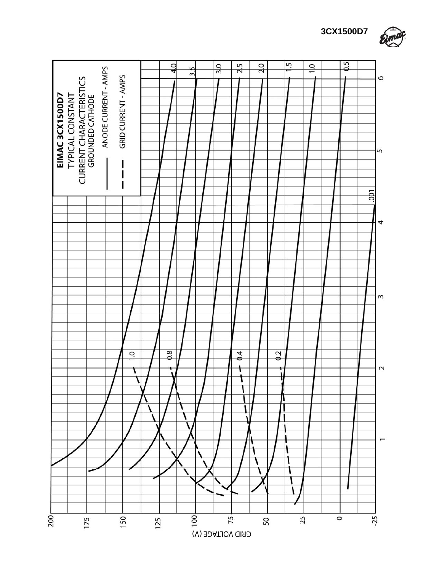

**3CX1500D7**